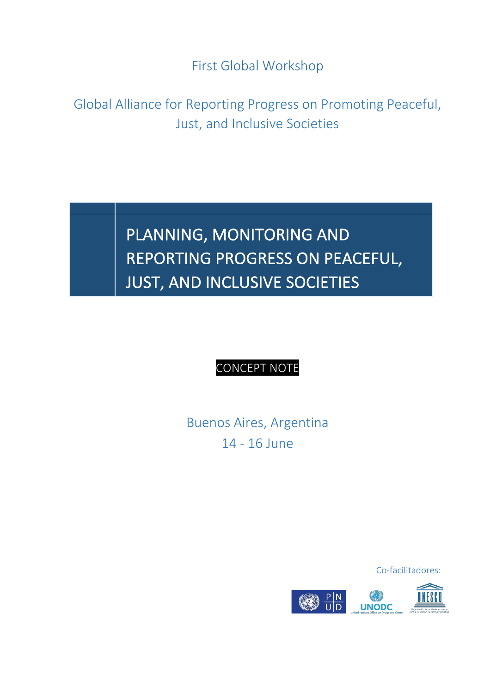First Global Workshop

Global Alliance for Reporting Progress on Promoting Peaceful, Just, and Inclusive Societies

## PLANNING, MONITORING AND REPORTING PROGRESS ON PEACEFUL, **JUST, AND INCLUSIVE SOCIETIES**

 $\overline{a}$ 

## **CONCEPT NOTE**

**Buenos Aires, Argentina** 14 - 16 June

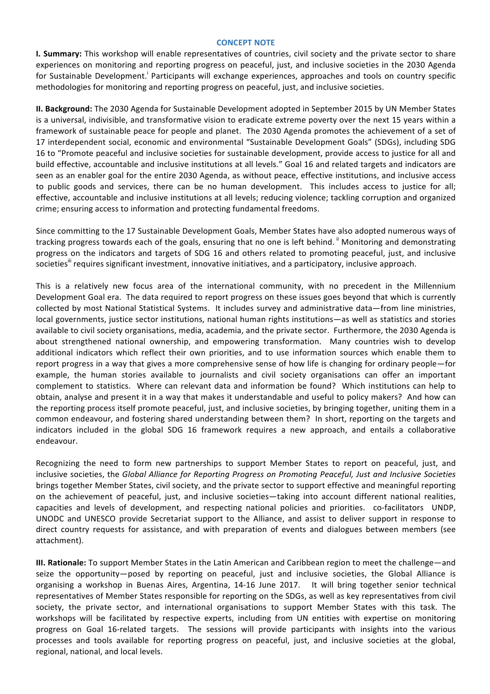## **CONCEPT NOTE**

**I. Summary:** This workshop will enable representatives of countries, civil society and the private sector to share experiences on monitoring and reporting progress on peaceful, just, and inclusive societies in the 2030 Agenda for Sustainable Development.<sup>1</sup> Participants will exchange experiences, approaches and tools on country specific methodologies for monitoring and reporting progress on peaceful, just, and inclusive societies.

**II. Background:** The 2030 Agenda for Sustainable Development adopted in September 2015 by UN Member States is a universal, indivisible, and transformative vision to eradicate extreme poverty over the next 15 years within a framework of sustainable peace for people and planet. The 2030 Agenda promotes the achievement of a set of 17 interdependent social, economic and environmental "Sustainable Development Goals" (SDGs), including SDG 16 to "Promote peaceful and inclusive societies for sustainable development, provide access to justice for all and build effective, accountable and inclusive institutions at all levels." Goal 16 and related targets and indicators are seen as an enabler goal for the entire 2030 Agenda, as without peace, effective institutions, and inclusive access to public goods and services, there can be no human development. This includes access to justice for all; effective, accountable and inclusive institutions at all levels; reducing violence; tackling corruption and organized crime; ensuring access to information and protecting fundamental freedoms.

Since committing to the 17 Sustainable Development Goals, Member States have also adopted numerous ways of tracking progress towards each of the goals, ensuring that no one is left behind. <sup>ii</sup> Monitoring and demonstrating progress on the indicators and targets of SDG 16 and others related to promoting peaceful, just, and inclusive societies<sup>ii</sup> requires significant investment, innovative initiatives, and a participatory, inclusive approach.

This is a relatively new focus area of the international community, with no precedent in the Millennium Development Goal era. The data required to report progress on these issues goes beyond that which is currently collected by most National Statistical Systems. It includes survey and administrative data—from line ministries, local governments, justice sector institutions, national human rights institutions—as well as statistics and stories available to civil society organisations, media, academia, and the private sector. Furthermore, the 2030 Agenda is about strengthened national ownership, and empowering transformation. Many countries wish to develop additional indicators which reflect their own priorities, and to use information sources which enable them to report progress in a way that gives a more comprehensive sense of how life is changing for ordinary people—for example, the human stories available to journalists and civil society organisations can offer an important complement to statistics. Where can relevant data and information be found? Which institutions can help to obtain, analyse and present it in a way that makes it understandable and useful to policy makers? And how can the reporting process itself promote peaceful, just, and inclusive societies, by bringing together, uniting them in a common endeavour, and fostering shared understanding between them? In short, reporting on the targets and indicators included in the global SDG 16 framework requires a new approach, and entails a collaborative endeavour. 

Recognizing the need to form new partnerships to support Member States to report on peaceful, just, and inclusive societies, the *Global Alliance for Reporting Progress on Promoting Peaceful, Just and Inclusive Societies* brings together Member States, civil society, and the private sector to support effective and meaningful reporting on the achievement of peaceful, just, and inclusive societies—taking into account different national realities, capacities and levels of development, and respecting national policies and priorities. co-facilitators UNDP, UNODC and UNESCO provide Secretariat support to the Alliance, and assist to deliver support in response to direct country requests for assistance, and with preparation of events and dialogues between members (see attachment).

**III. Rationale:** To support Member States in the Latin American and Caribbean region to meet the challenge—and seize the opportunity—posed by reporting on peaceful, just and inclusive societies, the Global Alliance is organising a workshop in Buenas Aires, Argentina, 14-16 June 2017. It will bring together senior technical representatives of Member States responsible for reporting on the SDGs, as well as key representatives from civil society, the private sector, and international organisations to support Member States with this task. The workshops will be facilitated by respective experts, including from UN entities with expertise on monitoring progress on Goal 16-related targets. The sessions will provide participants with insights into the various processes and tools available for reporting progress on peaceful, just, and inclusive societies at the global, regional, national, and local levels.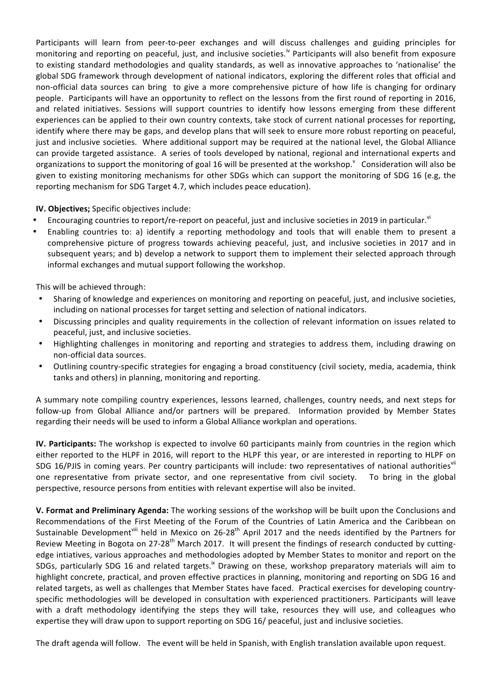Participants will learn from peer-to-peer exchanges and will discuss challenges and guiding principles for monitoring and reporting on peaceful, just, and inclusive societies.<sup>iv</sup> Participants will also benefit from exposure to existing standard methodologies and quality standards, as well as innovative approaches to 'nationalise' the global SDG framework through development of national indicators, exploring the different roles that official and non-official data sources can bring to give a more comprehensive picture of how life is changing for ordinary people. Participants will have an opportunity to reflect on the lessons from the first round of reporting in 2016, and related initiatives. Sessions will support countries to identify how lessons emerging from these different experiences can be applied to their own country contexts, take stock of current national processes for reporting, identify where there may be gaps, and develop plans that will seek to ensure more robust reporting on peaceful, just and inclusive societies. Where additional support may be required at the national level, the Global Alliance can provide targeted assistance. A series of tools developed by national, regional and international experts and organizations to support the monitoring of goal 16 will be presented at the workshop.  $\degree$  Consideration will also be given to existing monitoring mechanisms for other SDGs which can support the monitoring of SDG 16 (e.g, the reporting mechanism for SDG Target 4.7, which includes peace education).

**IV. Objectives;** Specific objectives include:

- Encouraging countries to report/re-report on peaceful, just and inclusive societies in 2019 in particular.<sup>vi</sup>
- Enabling countries to: a) identify a reporting methodology and tools that will enable them to present a comprehensive picture of progress towards achieving peaceful, just, and inclusive societies in 2017 and in subsequent years; and b) develop a network to support them to implement their selected approach through informal exchanges and mutual support following the workshop.

This will be achieved through:

- Sharing of knowledge and experiences on monitoring and reporting on peaceful, just, and inclusive societies, including on national processes for target setting and selection of national indicators.
- Discussing principles and quality requirements in the collection of relevant information on issues related to peaceful, just, and inclusive societies.
- Highlighting challenges in monitoring and reporting and strategies to address them, including drawing on non-official data sources.
- Outlining country-specific strategies for engaging a broad constituency (civil society, media, academia, think tanks and others) in planning, monitoring and reporting.

A summary note compiling country experiences, lessons learned, challenges, country needs, and next steps for follow-up from Global Alliance and/or partners will be prepared. Information provided by Member States regarding their needs will be used to inform a Global Alliance workplan and operations.

**IV.** Participants: The workshop is expected to involve 60 participants mainly from countries in the region which either reported to the HLPF in 2016, will report to the HLPF this year, or are interested in reporting to HLPF on SDG 16/PJIS in coming years. Per country participants will include: two representatives of national authoritiesvil one representative from private sector, and one representative from civil society. To bring in the global perspective, resource persons from entities with relevant expertise will also be invited.

**V.** Format and Preliminary Agenda: The working sessions of the workshop will be built upon the Conclusions and Recommendations of the First Meeting of the Forum of the Countries of Latin America and the Caribbean on Sustainable Development<sup>viii</sup> held in Mexico on 26-28<sup>th</sup> April 2017 and the needs identified by the Partners for Review Meeting in Bogota on 27-28<sup>th</sup> March 2017. It will present the findings of research conducted by cuttingedge intiatives, various approaches and methodologies adopted by Member States to monitor and report on the SDGs, particularly SDG 16 and related targets.<sup>ix</sup> Drawing on these, workshop preparatory materials will aim to highlight concrete, practical, and proven effective practices in planning, monitoring and reporting on SDG 16 and related targets, as well as challenges that Member States have faced. Practical exercises for developing countryspecific methodologies will be developed in consultation with experienced practitioners. Participants will leave with a draft methodology identifying the steps they will take, resources they will use, and colleagues who expertise they will draw upon to support reporting on SDG 16/ peaceful, just and inclusive societies.

The draft agenda will follow. The event will be held in Spanish, with English translation available upon request.